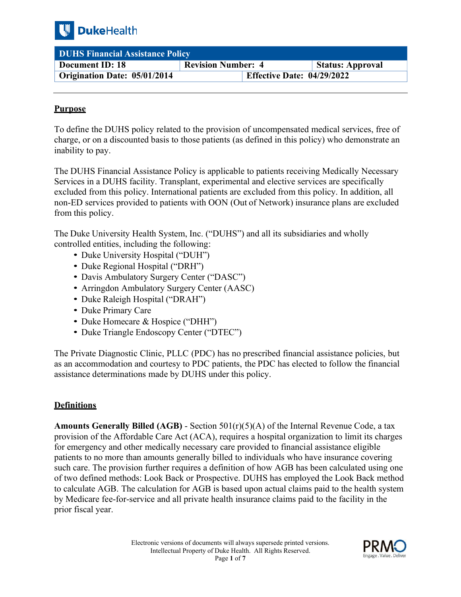

| <b>DUHS Financial Assistance Policy</b> |                                                |                         |  |
|-----------------------------------------|------------------------------------------------|-------------------------|--|
| Document ID: 18                         | <b>Revision Number: 4</b>                      | <b>Status: Approval</b> |  |
| <b>Origination Date: 05/01/2014</b>     | <b>Effective Date: <math>04/29/2022</math></b> |                         |  |

## **Purpose**

 To define the DUHS policy related to the provision of uncompensated medical services, free of charge, or on a discounted basis to those patients (as defined in this policy) who demonstrate an inability to pay.

The DUHS Financial Assistance Policy is applicable to patients receiving Medically Necessary Services in a DUHS facility. Transplant, experimental and elective services are specifically excluded from this policy. International patients are excluded from this policy. In addition, all non-ED services provided to patients with OON (Out of Network) insurance plans are excluded from this policy.

The Duke University Health System, Inc. ("DUHS") and all its subsidiaries and wholly controlled entities, including the following:

- Duke University Hospital ("DUH")
- Duke Regional Hospital ("DRH")
- Davis Ambulatory Surgery Center ("DASC")
- Arringdon Ambulatory Surgery Center (AASC)
- Duke Raleigh Hospital ("DRAH")
- Duke Primary Care
- Duke Homecare & Hospice ("DHH")
- Duke Triangle Endoscopy Center ("DTEC")

 The Private Diagnostic Clinic, PLLC (PDC) has no prescribed financial assistance policies, but as an accommodation and courtesy to PDC patients, the PDC has elected to follow the financial assistance determinations made by DUHS under this policy.

## **Definitions**

**Amounts Generally Billed (AGB)** - Section 501(r)(5)(A) of the Internal Revenue Code, a tax provision of the Affordable Care Act (ACA), requires a hospital organization to limit its charges for emergency and other medically necessary care provided to financial assistance eligible patients to no more than amounts generally billed to individuals who have insurance covering such care. The provision further requires a definition of how AGB has been calculated using one of two defined methods: Look Back or Prospective. DUHS has employed the Look Back method to calculate AGB. The calculation for AGB is based upon actual claims paid to the health system by Medicare fee-for-service and all private health insurance claims paid to the facility in the prior fiscal year.

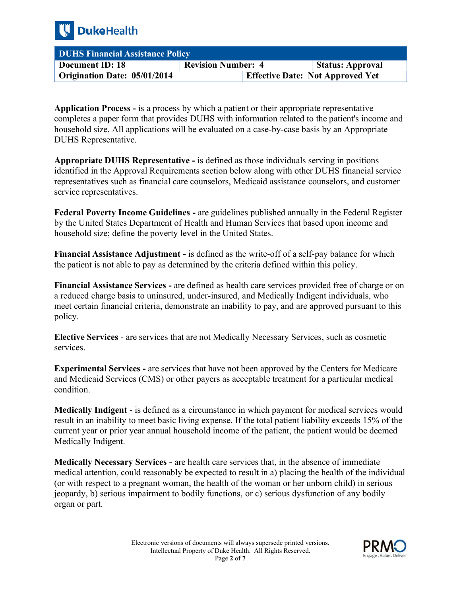

| <b>DUHS Financial Assistance Policy</b> |                                         |                         |  |
|-----------------------------------------|-----------------------------------------|-------------------------|--|
| Document ID: 18                         | <b>Revision Number: 4</b>               | <b>Status: Approval</b> |  |
| Origination Date: 05/01/2014            | <b>Effective Date: Not Approved Yet</b> |                         |  |

**Application Process -** is a process by which a patient or their appropriate representative completes a paper form that provides DUHS with information related to the patient's income and household size. All applications will be evaluated on a case-by-case basis by an Appropriate DUHS Representative.

**Appropriate DUHS Representative -** is defined as those individuals serving in positions identified in the Approval Requirements section below along with other DUHS financial service representatives such as financial care counselors, Medicaid assistance counselors, and customer service representatives.

**Federal Poverty Income Guidelines -** are guidelines published annually in the Federal Register by the United States Department of Health and Human Services that based upon income and household size; define the poverty level in the United States.

**Financial Assistance Adjustment -** is defined as the write-off of a self-pay balance for which the patient is not able to pay as determined by the criteria defined within this policy.

**Financial Assistance Services -** are defined as health care services provided free of charge or on a reduced charge basis to uninsured, under-insured, and Medically Indigent individuals, who meet certain financial criteria, demonstrate an inability to pay, and are approved pursuant to this policy.

**Elective Services** - are services that are not Medically Necessary Services, such as cosmetic services.

**Experimental Services -** are services that have not been approved by the Centers for Medicare and Medicaid Services (CMS) or other payers as acceptable treatment for a particular medical condition.

**Medically Indigent** - is defined as a circumstance in which payment for medical services would result in an inability to meet basic living expense. If the total patient liability exceeds 15% of the current year or prior year annual household income of the patient, the patient would be deemed Medically Indigent.

**Medically Necessary Services -** are health care services that, in the absence of immediate medical attention, could reasonably be expected to result in a) placing the health of the individual (or with respect to a pregnant woman, the health of the woman or her unborn child) in serious jeopardy, b) serious impairment to bodily functions, or c) serious dysfunction of any bodily organ or part.

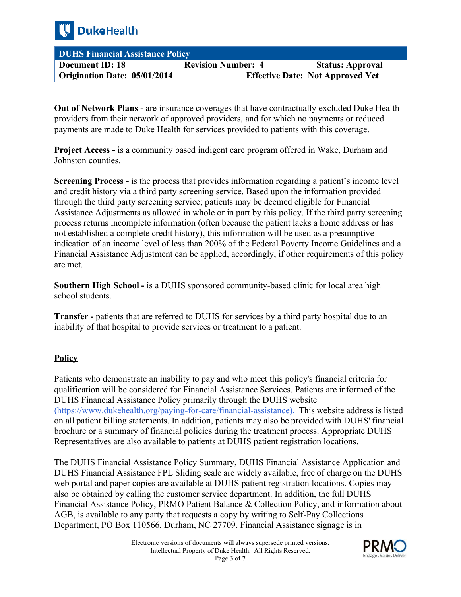

| <b>DUHS Financial Assistance Policy</b> |                                         |                         |  |
|-----------------------------------------|-----------------------------------------|-------------------------|--|
| Document ID: 18                         | <b>Revision Number: 4</b>               | <b>Status: Approval</b> |  |
| Origination Date: 05/01/2014            | <b>Effective Date: Not Approved Yet</b> |                         |  |

**Out of Network Plans -** are insurance coverages that have contractually excluded Duke Health providers from their network of approved providers, and for which no payments or reduced payments are made to Duke Health for services provided to patients with this coverage.

**Project Access -** is a community based indigent care program offered in Wake, Durham and Johnston counties.

**Screening Process -** is the process that provides information regarding a patient's income level and credit history via a third party screening service. Based upon the information provided through the third party screening service; patients may be deemed eligible for Financial Assistance Adjustments as allowed in whole or in part by this policy. If the third party screening process returns incomplete information (often because the patient lacks a home address or has not established a complete credit history), this information will be used as a presumptive indication of an income level of less than 200% of the Federal Poverty Income Guidelines and a Financial Assistance Adjustment can be applied, accordingly, if other requirements of this policy are met.

**Southern High School -** is a DUHS sponsored community-based clinic for local area high school students.

**Transfer -** patients that are referred to DUHS for services by a third party hospital due to an inability of that hospital to provide services or treatment to a patient.

## **Policy**

Patients who demonstrate an inability to pay and who meet this policy's financial criteria for qualification will be considered for Financial Assistance Services. Patients are informed of the DUHS Financial Assistance Policy primarily through the DUHS website (<https://www.dukehealth.org/paying-for-care/financial-assistance>). This website address is listed on all patient billing statements. In addition, patients may also be provided with DUHS' financial brochure or a summary of financial policies during the treatment process. Appropriate DUHS Representatives are also available to patients at DUHS patient registration locations.

The DUHS Financial Assistance Policy Summary, DUHS Financial Assistance Application and DUHS Financial Assistance FPL Sliding scale are widely available, free of charge on the DUHS web portal and paper copies are available at DUHS patient registration locations. Copies may also be obtained by calling the customer service department. In addition, the full DUHS Financial Assistance Policy, PRMO Patient Balance & Collection Policy, and information about AGB, is available to any party that requests a copy by writing to Self-Pay Collections Department, PO Box 110566, Durham, NC 27709. Financial Assistance signage is in

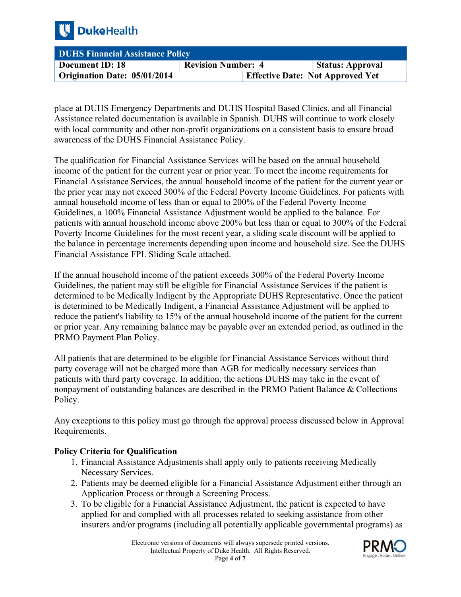

| <b>DUHS Financial Assistance Policy</b> |                                         |                         |  |
|-----------------------------------------|-----------------------------------------|-------------------------|--|
| Document ID: 18                         | <b>Revision Number: 4</b>               | <b>Status: Approval</b> |  |
| Origination Date: 05/01/2014            | <b>Effective Date: Not Approved Yet</b> |                         |  |

place at DUHS Emergency Departments and DUHS Hospital Based Clinics, and all Financial Assistance related documentation is available in Spanish. DUHS will continue to work closely with local community and other non-profit organizations on a consistent basis to ensure broad awareness of the DUHS Financial Assistance Policy.

The qualification for Financial Assistance Services will be based on the annual household income of the patient for the current year or prior year. To meet the income requirements for Financial Assistance Services, the annual household income of the patient for the current year or the prior year may not exceed 300% of the Federal Poverty Income Guidelines. For patients with annual household income of less than or equal to 200% of the Federal Poverty Income Guidelines, a 100% Financial Assistance Adjustment would be applied to the balance. For patients with annual household income above 200% but less than or equal to 300% of the Federal Poverty Income Guidelines for the most recent year, a sliding scale discount will be applied to the balance in percentage increments depending upon income and household size. See the DUHS Financial Assistance FPL Sliding Scale attached.

 is determined to be Medically Indigent, a Financial Assistance Adjustment will be applied to If the annual household income of the patient exceeds 300% of the Federal Poverty Income Guidelines, the patient may still be eligible for Financial Assistance Services if the patient is determined to be Medically Indigent by the Appropriate DUHS Representative. Once the patient reduce the patient's liability to 15% of the annual household income of the patient for the current or prior year. Any remaining balance may be payable over an extended period, as outlined in the PRMO Payment Plan Policy.

All patients that are determined to be eligible for Financial Assistance Services without third party coverage will not be charged more than AGB for medically necessary services than patients with third party coverage. In addition, the actions DUHS may take in the event of nonpayment of outstanding balances are described in the PRMO Patient Balance & Collections Policy.

Any exceptions to this policy must go through the approval process discussed below in Approval Requirements.

## **Policy Criteria for Qualification**

- 1. Financial Assistance Adjustments shall apply only to patients receiving Medically Necessary Services.
- 2. Patients may be deemed eligible for a Financial Assistance Adjustment either through an Application Process or through a Screening Process.
- 3. To be eligible for a Financial Assistance Adjustment, the patient is expected to have applied for and complied with all processes related to seeking assistance from other insurers and/or programs (including all potentially applicable governmental programs) as

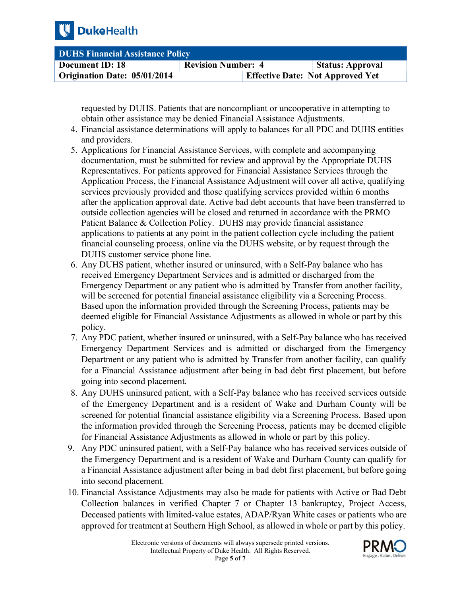

| DUHS Financial Assistance Policy |                                         |                         |  |
|----------------------------------|-----------------------------------------|-------------------------|--|
| Document ID: 18                  | <b>Revision Number: 4</b>               | <b>Status: Approval</b> |  |
| Origination Date: 05/01/2014     | <b>Effective Date: Not Approved Yet</b> |                         |  |

requested by DUHS. Patients that are noncompliant or uncooperative in attempting to obtain other assistance may be denied Financial Assistance Adjustments.

- 4. Financial assistance determinations will apply to balances for all PDC and DUHS entities and providers.
- applications to patients at any point in the patient collection cycle including the patient 5. Applications for Financial Assistance Services, with complete and accompanying documentation, must be submitted for review and approval by the Appropriate DUHS Representatives. For patients approved for Financial Assistance Services through the Application Process, the Financial Assistance Adjustment will cover all active, qualifying services previously provided and those qualifying services provided within 6 months after the application approval date. Active bad debt accounts that have been transferred to outside collection agencies will be closed and returned in accordance with the PRMO Patient Balance & Collection Policy. DUHS may provide financial assistance financial counseling process, online via the DUHS website, or by request through the DUHS customer service phone line.
- 6. Any DUHS patient, whether insured or uninsured, with a Self-Pay balance who has received Emergency Department Services and is admitted or discharged from the Emergency Department or any patient who is admitted by Transfer from another facility, will be screened for potential financial assistance eligibility via a Screening Process. Based upon the information provided through the Screening Process, patients may be deemed eligible for Financial Assistance Adjustments as allowed in whole or part by this policy.
- Emergency Department Services and is admitted or discharged from the Emergency Department or any patient who is admitted by Transfer from another facility, can qualify for a Financial Assistance adjustment after being in bad debt first placement, but before 7. Any PDC patient, whether insured or uninsured, with a Self-Pay balance who has received going into second placement.
- 8. Any DUHS uninsured patient, with a Self-Pay balance who has received services outside of the Emergency Department and is a resident of Wake and Durham County will be screened for potential financial assistance eligibility via a Screening Process. Based upon the information provided through the Screening Process, patients may be deemed eligible for Financial Assistance Adjustments as allowed in whole or part by this policy.
- the Emergency Department and is a resident of Wake and Durham County can qualify for 9. Any PDC uninsured patient, with a Self-Pay balance who has received services outside of a Financial Assistance adjustment after being in bad debt first placement, but before going into second placement.
- 10. Financial Assistance Adjustments may also be made for patients with Active or Bad Debt Collection balances in verified Chapter 7 or Chapter 13 bankruptcy, Project Access, Deceased patients with limited-value estates, ADAP/Ryan White cases or patients who are approved for treatment at Southern High School, as allowed in whole or part by this policy.